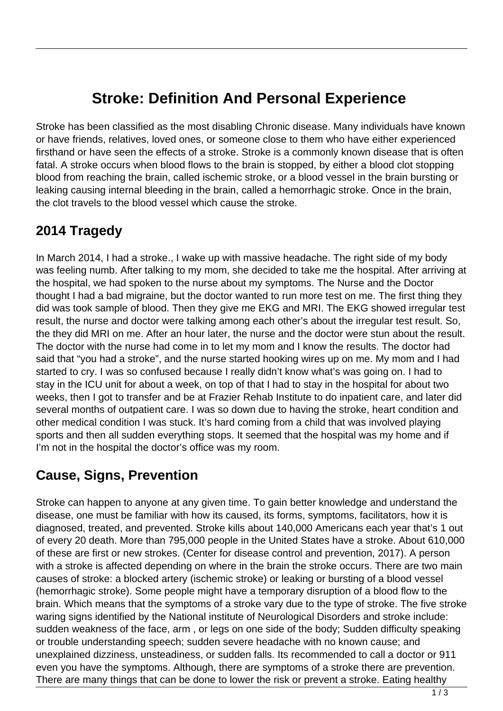# **Stroke: Definition And Personal Experience**

Stroke has been classified as the most disabling Chronic disease. Many individuals have known or have friends, relatives, loved ones, or someone close to them who have either experienced firsthand or have seen the effects of a stroke. Stroke is a commonly known disease that is often fatal. A stroke occurs when blood flows to the brain is stopped, by either a blood clot stopping blood from reaching the brain, called ischemic stroke, or a blood vessel in the brain bursting or leaking causing internal bleeding in the brain, called a hemorrhagic stroke. Once in the brain, the clot travels to the blood vessel which cause the stroke.

#### **2014 Tragedy**

In March 2014, I had a stroke., I wake up with massive headache. The right side of my body was feeling numb. After talking to my mom, she decided to take me the hospital. After arriving at the hospital, we had spoken to the nurse about my symptoms. The Nurse and the Doctor thought I had a bad migraine, but the doctor wanted to run more test on me. The first thing they did was took sample of blood. Then they give me EKG and MRI. The EKG showed irregular test result, the nurse and doctor were talking among each other's about the irregular test result. So, the they did MRI on me. After an hour later, the nurse and the doctor were stun about the result. The doctor with the nurse had come in to let my mom and I know the results. The doctor had said that "you had a stroke", and the nurse started hooking wires up on me. My mom and I had started to cry. I was so confused because I really didn't know what's was going on. I had to stay in the ICU unit for about a week, on top of that I had to stay in the hospital for about two weeks, then I got to transfer and be at Frazier Rehab Institute to do inpatient care, and later did several months of outpatient care. I was so down due to having the stroke, heart condition and other medical condition I was stuck. It's hard coming from a child that was involved playing sports and then all sudden everything stops. It seemed that the hospital was my home and if I'm not in the hospital the doctor's office was my room.

### **Cause, Signs, Prevention**

Stroke can happen to anyone at any given time. To gain better knowledge and understand the disease, one must be familiar with how its caused, its forms, symptoms, facilitators, how it is diagnosed, treated, and prevented. Stroke kills about 140,000 Americans each year that's 1 out of every 20 death. More than 795,000 people in the United States have a stroke. About 610,000 of these are first or new strokes. (Center for disease control and prevention, 2017). A person with a stroke is affected depending on where in the brain the stroke occurs. There are two main causes of stroke: a blocked artery (ischemic stroke) or leaking or bursting of a blood vessel (hemorrhagic stroke). Some people might have a temporary disruption of a blood flow to the brain. Which means that the symptoms of a stroke vary due to the type of stroke. The five stroke waring signs identified by the National institute of Neurological Disorders and stroke include: sudden weakness of the face, arm , or legs on one side of the body; Sudden difficulty speaking or trouble understanding speech; sudden severe headache with no known cause; and unexplained dizziness, unsteadiness, or sudden falls. Its recommended to call a doctor or 911 even you have the symptoms. Although, there are symptoms of a stroke there are prevention. There are many things that can be done to lower the risk or prevent a stroke. Eating healthy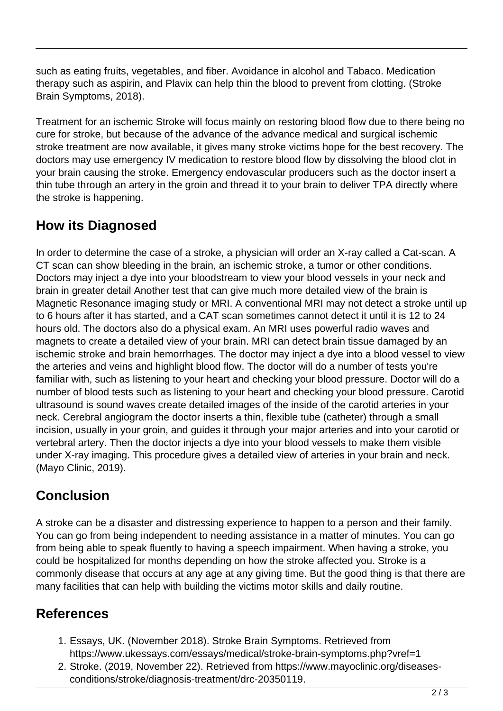such as eating fruits, vegetables, and fiber. Avoidance in alcohol and Tabaco. Medication therapy such as aspirin, and Plavix can help thin the blood to prevent from clotting. (Stroke Brain Symptoms, 2018).

Treatment for an ischemic Stroke will focus mainly on restoring blood flow due to there being no cure for stroke, but because of the advance of the advance medical and surgical ischemic stroke treatment are now available, it gives many stroke victims hope for the best recovery. The doctors may use emergency IV medication to restore blood flow by dissolving the blood clot in your brain causing the stroke. Emergency endovascular producers such as the doctor insert a thin tube through an artery in the groin and thread it to your brain to deliver TPA directly where the stroke is happening.

### **How its Diagnosed**

In order to determine the case of a stroke, a physician will order an X-ray called a Cat-scan. A CT scan can show bleeding in the brain, an ischemic stroke, a tumor or other conditions. Doctors may inject a dye into your bloodstream to view your blood vessels in your neck and brain in greater detail Another test that can give much more detailed view of the brain is Magnetic Resonance imaging study or MRI. A conventional MRI may not detect a stroke until up to 6 hours after it has started, and a CAT scan sometimes cannot detect it until it is 12 to 24 hours old. The doctors also do a physical exam. An MRI uses powerful radio waves and magnets to create a detailed view of your brain. MRI can detect brain tissue damaged by an ischemic stroke and brain hemorrhages. The doctor may inject a dye into a blood vessel to view the arteries and veins and highlight blood flow. The doctor will do a number of tests you're familiar with, such as listening to your heart and checking your blood pressure. Doctor will do a number of blood tests such as listening to your heart and checking your blood pressure. Carotid ultrasound is sound waves create detailed images of the inside of the carotid arteries in your neck. Cerebral angiogram the doctor inserts a thin, flexible tube (catheter) through a small incision, usually in your groin, and guides it through your major arteries and into your carotid or vertebral artery. Then the doctor injects a dye into your blood vessels to make them visible under X-ray imaging. This procedure gives a detailed view of arteries in your brain and neck. (Mayo Clinic, 2019).

## **Conclusion**

A stroke can be a disaster and distressing experience to happen to a person and their family. You can go from being independent to needing assistance in a matter of minutes. You can go from being able to speak fluently to having a speech impairment. When having a stroke, you could be hospitalized for months depending on how the stroke affected you. Stroke is a commonly disease that occurs at any age at any giving time. But the good thing is that there are many facilities that can help with building the victims motor skills and daily routine.

#### **References**

- 1. Essays, UK. (November 2018). Stroke Brain Symptoms. Retrieved from https://www.ukessays.com/essays/medical/stroke-brain-symptoms.php?vref=1
- 2. Stroke. (2019, November 22). Retrieved from https://www.mayoclinic.org/diseasesconditions/stroke/diagnosis-treatment/drc-20350119.